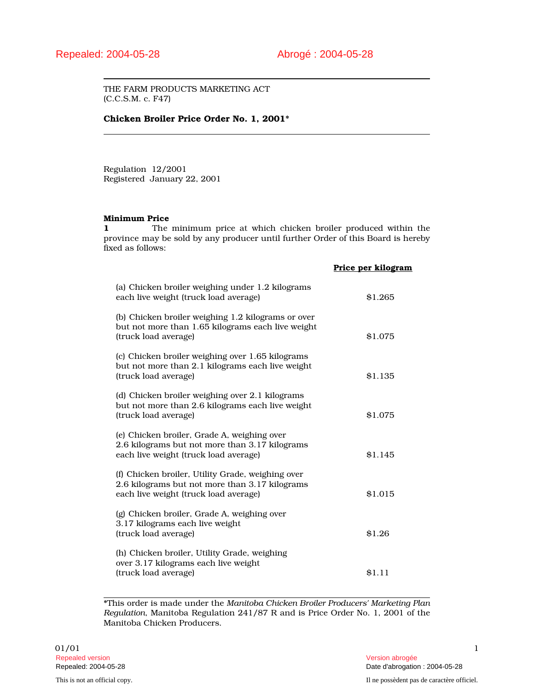Price per kilogram

THE FARM PRODUCTS MARKETING ACT (C.C.S.M. c. F47)

### Chicken Broiler Price Order No. 1, 2001\*

Regulation 12/2001 Registered January 22, 2001

#### Minimum Price

1 The minimum price at which chicken broiler produced within the province may be sold by any producer until further Order of this Board is hereby fixed as follows:

| (a) Chicken broiler weighing under 1.2 kilograms<br>each live weight (truck load average)                                                    | \$1.265 |
|----------------------------------------------------------------------------------------------------------------------------------------------|---------|
| (b) Chicken broiler weighing 1.2 kilograms or over<br>but not more than 1.65 kilograms each live weight<br>(truck load average)              | \$1.075 |
| (c) Chicken broiler weighing over 1.65 kilograms<br>but not more than 2.1 kilograms each live weight<br>(truck load average)                 | \$1.135 |
| (d) Chicken broiler weighing over 2.1 kilograms<br>but not more than 2.6 kilograms each live weight<br>(truck load average)                  | \$1.075 |
| (e) Chicken broiler, Grade A, weighing over<br>2.6 kilograms but not more than 3.17 kilograms<br>each live weight (truck load average)       | \$1.145 |
| (f) Chicken broiler, Utility Grade, weighing over<br>2.6 kilograms but not more than 3.17 kilograms<br>each live weight (truck load average) | \$1.015 |
| (g) Chicken broiler, Grade A, weighing over<br>3.17 kilograms each live weight<br>(truck load average)                                       | \$1.26  |
| (h) Chicken broiler, Utility Grade, weighing<br>over 3.17 kilograms each live weight<br>(truck load average)                                 | \$1.11  |

\*This order is made under the *Manitoba Chicken Broiler Producers' Marketing Plan Regulation*, Manitoba Regulation 241/87 R and is Price Order No. 1, 2001 of the Manitoba Chicken Producers.